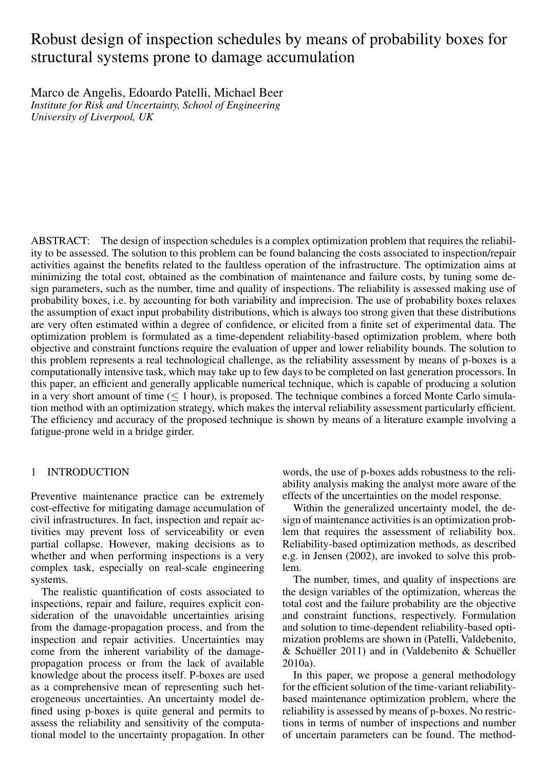# Robust design of inspection schedules by means of probability boxes for structural systems prone to damage accumulation

Marco de Angelis, Edoardo Patelli, Michael Beer *Institute for Risk and Uncertainty, School of Engineering University of Liverpool, UK*

ABSTRACT: The design of inspection schedules is a complex optimization problem that requires the reliability to be assessed. The solution to this problem can be found balancing the costs associated to inspection/repair activities against the benefits related to the faultless operation of the infrastructure. The optimization aims at minimizing the total cost, obtained as the combination of maintenance and failure costs, by tuning some design parameters, such as the number, time and quality of inspections. The reliability is assessed making use of probability boxes, i.e. by accounting for both variability and imprecision. The use of probability boxes relaxes the assumption of exact input probability distributions, which is always too strong given that these distributions are very often estimated within a degree of confidence, or elicited from a finite set of experimental data. The optimization problem is formulated as a time-dependent reliability-based optimization problem, where both objective and constraint functions require the evaluation of upper and lower reliability bounds. The solution to this problem represents a real technological challenge, as the reliability assessment by means of p-boxes is a computationally intensive task, which may take up to few days to be completed on last generation processors. In this paper, an efficient and generally applicable numerical technique, which is capable of producing a solution in a very short amount of time  $(< 1$  hour), is proposed. The technique combines a forced Monte Carlo simulation method with an optimization strategy, which makes the interval reliability assessment particularly efficient. The efficiency and accuracy of the proposed technique is shown by means of a literature example involving a fatigue-prone weld in a bridge girder.

# 1 INTRODUCTION

Preventive maintenance practice can be extremely cost-effective for mitigating damage accumulation of civil infrastructures. In fact, inspection and repair activities may prevent loss of serviceability or even partial collapse. However, making decisions as to whether and when performing inspections is a very complex task, especially on real-scale engineering systems.

The realistic quantification of costs associated to inspections, repair and failure, requires explicit consideration of the unavoidable uncertainties arising from the damage-propagation process, and from the inspection and repair activities. Uncertainties may come from the inherent variability of the damagepropagation process or from the lack of available knowledge about the process itself. P-boxes are used as a comprehensive mean of representing such heterogeneous uncertainties. An uncertainty model defined using p-boxes is quite general and permits to assess the reliability and sensitivity of the computational model to the uncertainty propagation. In other

words, the use of p-boxes adds robustness to the reliability analysis making the analyst more aware of the effects of the uncertainties on the model response.

Within the generalized uncertainty model, the design of maintenance activities is an optimization problem that requires the assessment of reliability box. Reliability-based optimization methods, as described e.g. in Jensen (2002), are invoked to solve this problem.

The number, times, and quality of inspections are the design variables of the optimization, whereas the total cost and the failure probability are the objective and constraint functions, respectively. Formulation and solution to time-dependent reliability-based optimization problems are shown in (Patelli, Valdebenito, & Schuëller 2011) and in (Valdebenito & Schuëller 2010a).

In this paper, we propose a general methodology for the efficient solution of the time-variant reliabilitybased maintenance optimization problem, where the reliability is assessed by means of p-boxes. No restrictions in terms of number of inspections and number of uncertain parameters can be found. The method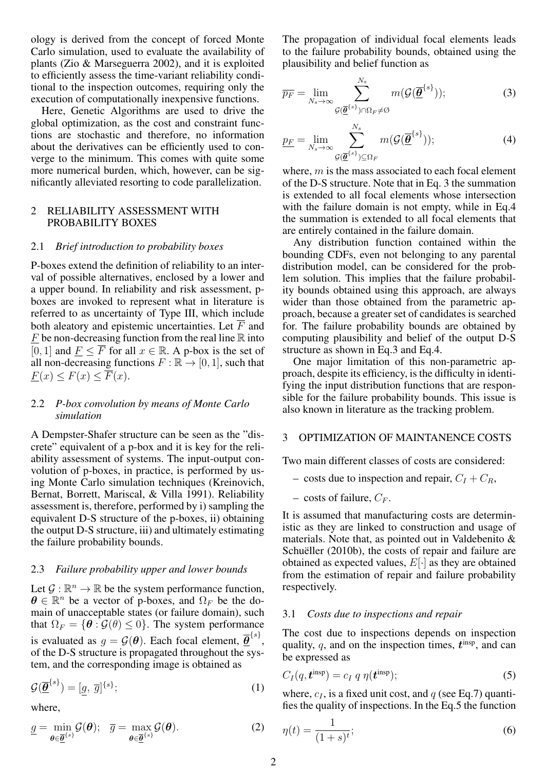ology is derived from the concept of forced Monte Carlo simulation, used to evaluate the availability of plants (Zio & Marseguerra 2002), and it is exploited to efficiently assess the time-variant reliability conditional to the inspection outcomes, requiring only the execution of computationally inexpensive functions.

Here, Genetic Algorithms are used to drive the global optimization, as the cost and constraint functions are stochastic and therefore, no information about the derivatives can be efficiently used to converge to the minimum. This comes with quite some more numerical burden, which, however, can be significantly alleviated resorting to code parallelization.

# 2 RELIABILITY ASSESSMENT WITH PROBABILITY BOXES

#### 2.1 *Brief introduction to probability boxes*

P-boxes extend the definition of reliability to an interval of possible alternatives, enclosed by a lower and a upper bound. In reliability and risk assessment, pboxes are invoked to represent what in literature is referred to as uncertainty of Type III, which include both aleatory and epistemic uncertainties. Let  $\overline{F}$  and  $F$  be non-decreasing function from the real line  $\mathbb R$  into [0, 1] and  $F \leq \overline{F}$  for all  $x \in \mathbb{R}$ . A p-box is the set of all non-decreasing functions  $F : \mathbb{R} \to [0, 1]$ , such that  $F(x) \leq F(x) \leq \overline{F}(x)$ .

#### 2.2 *P-box convolution by means of Monte Carlo simulation*

A Dempster-Shafer structure can be seen as the "discrete" equivalent of a p-box and it is key for the reliability assessment of systems. The input-output convolution of p-boxes, in practice, is performed by using Monte Carlo simulation techniques (Kreinovich, Bernat, Borrett, Mariscal, & Villa 1991). Reliability assessment is, therefore, performed by i) sampling the equivalent D-S structure of the p-boxes, ii) obtaining the output D-S structure, iii) and ultimately estimating the failure probability bounds.

# 2.3 *Failure probability upper and lower bounds*

Let  $\mathcal{G} : \mathbb{R}^n \to \mathbb{R}$  be the system performance function,  $\theta \in \mathbb{R}^n$  be a vector of p-boxes, and  $\Omega_F$  be the domain of unacceptable states (or failure domain), such that  $\Omega_F = {\theta : \mathcal{G}(\theta) \leq 0}$ . The system performance is evaluated as  $g = \mathcal{G}(\boldsymbol{\theta})$ . Each focal element,  $\overline{\boldsymbol{\theta}}^{\{s\}}$ , of the D-S structure is propagated throughout the system, and the corresponding image is obtained as

$$
\mathcal{G}(\overline{\underline{\theta}}^{\{s\}}) = [\underline{g}, \overline{g}]^{\{s\}};
$$
\n(1)

where,

$$
\underline{g} = \min_{\boldsymbol{\theta} \in \underline{\overline{\boldsymbol{\theta}}}^{\{s\}}} \mathcal{G}(\boldsymbol{\theta}); \quad \overline{g} = \max_{\boldsymbol{\theta} \in \underline{\overline{\boldsymbol{\theta}}}^{\{s\}}} \mathcal{G}(\boldsymbol{\theta}). \tag{2}
$$

The propagation of individual focal elements leads to the failure probability bounds, obtained using the plausibility and belief function as

$$
\overline{p_F} = \lim_{N_s \to \infty} \sum_{\mathcal{G}(\overline{\underline{\theta}}^{\{s\}}) \cap \Omega_F \neq \emptyset}^{N_s} m(\mathcal{G}(\overline{\underline{\theta}}^{\{s\}}));
$$
(3)

$$
\underline{p_F} = \lim_{N_s \to \infty} \sum_{\mathcal{G}(\underline{\overline{\theta}}^{\{s\}}) \subseteq \Omega_F}^{\{N_s\}} m(\mathcal{G}(\overline{\underline{\theta}}^{\{s\}})); \tag{4}
$$

where,  $m$  is the mass associated to each focal element of the D-S structure. Note that in Eq. 3 the summation is extended to all focal elements whose intersection with the failure domain is not empty, while in Eq.4 the summation is extended to all focal elements that are entirely contained in the failure domain.

Any distribution function contained within the bounding CDFs, even not belonging to any parental distribution model, can be considered for the problem solution. This implies that the failure probability bounds obtained using this approach, are always wider than those obtained from the parametric approach, because a greater set of candidates is searched for. The failure probability bounds are obtained by computing plausibility and belief of the output D-S structure as shown in Eq.3 and Eq.4.

One major limitation of this non-parametric approach, despite its efficiency, is the difficulty in identifying the input distribution functions that are responsible for the failure probability bounds. This issue is also known in literature as the tracking problem.

# 3 OPTIMIZATION OF MAINTANENCE COSTS

Two main different classes of costs are considered:

- costs due to inspection and repair,  $C_I + C_R$ ,
- costs of failure,  $C_F$ .

It is assumed that manufacturing costs are deterministic as they are linked to construction and usage of materials. Note that, as pointed out in Valdebenito & Schueller  $(2010b)$ , the costs of repair and failure are obtained as expected values,  $E[\cdot]$  as they are obtained from the estimation of repair and failure probability respectively.

#### 3.1 *Costs due to inspections and repair*

The cost due to inspections depends on inspection quality,  $q$ , and on the inspection times,  $t^{\text{insp}}$ , and can be expressed as

$$
C_I(q, \mathbf{t}^{\text{insp}}) = c_I q \eta(\mathbf{t}^{\text{insp}}); \tag{5}
$$

where,  $c_I$ , is a fixed unit cost, and q (see Eq.7) quantifies the quality of inspections. In the Eq.5 the function

$$
\eta(t) = \frac{1}{(1+s)^t};\tag{6}
$$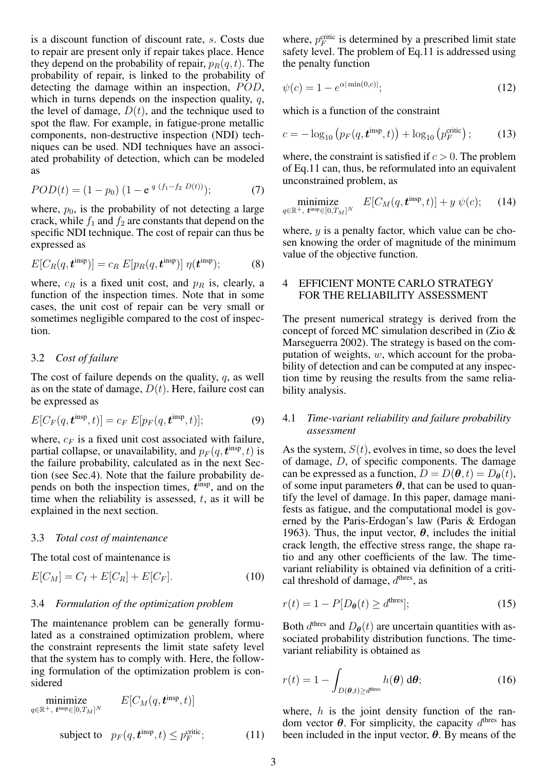is a discount function of discount rate, s. Costs due to repair are present only if repair takes place. Hence they depend on the probability of repair,  $p_R(q, t)$ . The probability of repair, is linked to the probability of detecting the damage within an inspection, POD, which in turns depends on the inspection quality,  $q$ , the level of damage,  $D(t)$ , and the technique used to spot the flaw. For example, in fatigue-prone metallic components, non-destructive inspection (NDI) techniques can be used. NDI techniques have an associated probability of detection, which can be modeled as

$$
POD(t) = (1 - p_0) (1 - e^{q (f_1 - f_2 D(t))}); \tag{7}
$$

where,  $p_0$ , is the probability of not detecting a large crack, while  $f_1$  and  $f_2$  are constants that depend on the specific NDI technique. The cost of repair can thus be expressed as

$$
E[C_R(q, \mathbf{t}^{\text{insp}})] = c_R E[p_R(q, \mathbf{t}^{\text{insp}})] \eta(\mathbf{t}^{\text{insp}}); \tag{8}
$$

where,  $c_R$  is a fixed unit cost, and  $p_R$  is, clearly, a function of the inspection times. Note that in some cases, the unit cost of repair can be very small or sometimes negligible compared to the cost of inspection.

# 3.2 *Cost of failure*

The cost of failure depends on the quality, q, as well as on the state of damage,  $D(t)$ . Here, failure cost can be expressed as

$$
E[C_F(q, \mathbf{t}^{\text{insp}}, t)] = c_F E[p_F(q, \mathbf{t}^{\text{insp}}, t)]; \qquad (9)
$$

where,  $c_F$  is a fixed unit cost associated with failure, partial collapse, or unavailability, and  $p_F(q, \boldsymbol{t}^{\text{insp}}, t)$  is the failure probability, calculated as in the next Section (see Sec.4). Note that the failure probability depends on both the inspection times,  $t^{\text{insp}}$ , and on the time when the reliability is assessed,  $t$ , as it will be explained in the next section.

## 3.3 *Total cost of maintenance*

The total cost of maintenance is

$$
E[C_M] = C_I + E[C_R] + E[C_F].
$$
\n(10)

#### 3.4 *Formulation of the optimization problem*

The maintenance problem can be generally formulated as a constrained optimization problem, where the constraint represents the limit state safety level that the system has to comply with. Here, the following formulation of the optimization problem is considered

minimize  $q \in \mathbb{R}^+, t^{\text{insp}} \in [0, T_M]^N$  $E[C_M(q,\boldsymbol{t}^{\rm insp},t)]$ subject to  $p_F(q, t^{\text{insp}}, t) \leq p_F^{\text{critic}}$  $(11)$ 

where,  $p_F^{\text{critic}}$  is determined by a prescribed limit state safety level. The problem of Eq.11 is addressed using the penalty function

$$
\psi(c) = 1 - e^{\alpha |\min(0, c)|};\tag{12}
$$

which is a function of the constraint

$$
c = -\log_{10}\left(p_F(q, \boldsymbol{t}^{\text{insp}}, t)\right) + \log_{10}\left(p_F^{\text{critic}}\right); \tag{13}
$$

where, the constraint is satisfied if  $c > 0$ . The problem of Eq.11 can, thus, be reformulated into an equivalent unconstrained problem, as

$$
\underset{q \in \mathbb{R}^+,\ \boldsymbol{t}^{\text{insp}} \in [0,T_M]^N}{\text{minimize}} \quad E[C_M(q,\boldsymbol{t}^{\text{insp}},t)] + y \ \psi(c);\tag{14}
$$

where,  $y$  is a penalty factor, which value can be chosen knowing the order of magnitude of the minimum value of the objective function.

# 4 EFFICIENT MONTE CARLO STRATEGY FOR THE RELIABILITY ASSESSMENT

The present numerical strategy is derived from the concept of forced MC simulation described in (Zio & Marseguerra 2002). The strategy is based on the computation of weights,  $w$ , which account for the probability of detection and can be computed at any inspection time by reusing the results from the same reliability analysis.

# 4.1 *Time-variant reliability and failure probability assessment*

As the system,  $S(t)$ , evolves in time, so does the level of damage,  $D$ , of specific components. The damage can be expressed as a function,  $D = D(\theta, t) = D_{\theta}(t)$ , of some input parameters  $\theta$ , that can be used to quantify the level of damage. In this paper, damage manifests as fatigue, and the computational model is governed by the Paris-Erdogan's law (Paris & Erdogan 1963). Thus, the input vector,  $\theta$ , includes the initial crack length, the effective stress range, the shape ratio and any other coefficients of the law. The timevariant reliability is obtained via definition of a critical threshold of damage,  $d<sup>thres</sup>$ , as

$$
r(t) = 1 - P[D_{\theta}(t) \ge d^{\text{thres}}];\tag{15}
$$

Both  $d<sup>thres</sup>$  and  $D_{\theta}(t)$  are uncertain quantities with associated probability distribution functions. The timevariant reliability is obtained as

$$
r(t) = 1 - \int_{D(\boldsymbol{\theta},t) \ge d^{\text{thres}}} h(\boldsymbol{\theta}) \, d\boldsymbol{\theta};
$$
 (16)

where,  $h$  is the joint density function of the random vector  $\theta$ . For simplicity, the capacity  $d<sup>thres</sup>$  has been included in the input vector,  $\theta$ . By means of the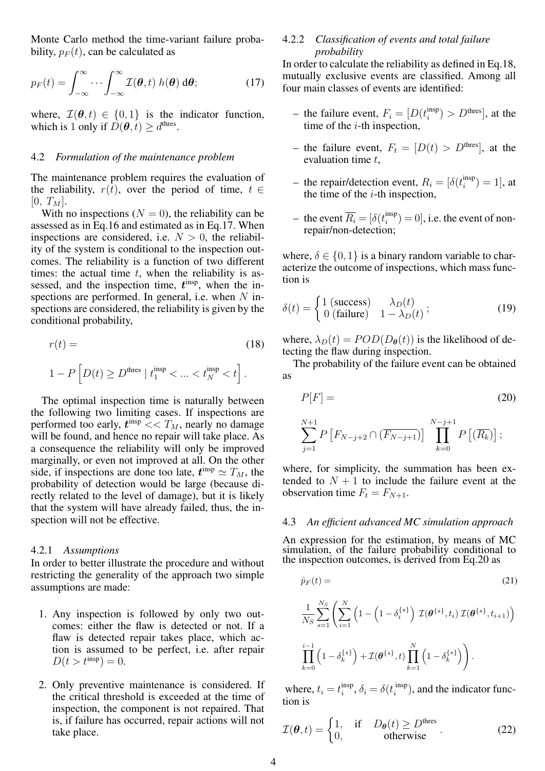Monte Carlo method the time-variant failure probability,  $p_F(t)$ , can be calculated as

$$
p_F(t) = \int_{-\infty}^{\infty} \cdots \int_{-\infty}^{\infty} \mathcal{I}(\boldsymbol{\theta}, t) \, h(\boldsymbol{\theta}) \, \mathrm{d}\boldsymbol{\theta};\tag{17}
$$

where,  $\mathcal{I}(\theta, t) \in \{0, 1\}$  is the indicator function, which is 1 only if  $D(\theta, t) \ge d^{\text{thres}}$ .

#### 4.2 *Formulation of the maintenance problem*

The maintenance problem requires the evaluation of the reliability,  $r(t)$ , over the period of time,  $t \in$  $[0, T_M].$ 

With no inspections  $(N = 0)$ , the reliability can be assessed as in Eq.16 and estimated as in Eq.17. When inspections are considered, i.e.  $N > 0$ , the reliability of the system is conditional to the inspection outcomes. The reliability is a function of two different times: the actual time  $t$ , when the reliability is assessed, and the inspection time,  $t^{\text{insp}}$ , when the inspections are performed. In general, i.e. when  $N$  inspections are considered, the reliability is given by the conditional probability,

$$
r(t) =
$$
\n
$$
1 - P\left[D(t) \ge D^{\text{thres}} \mid t_1^{\text{insp}} < \dots < t_N^{\text{insp}} < t\right].
$$
\n(18)

The optimal inspection time is naturally between the following two limiting cases. If inspections are performed too early,  $t^{\text{insp}} << T_M$ , nearly no damage will be found, and hence no repair will take place. As a consequence the reliability will only be improved marginally, or even not improved at all. On the other side, if inspections are done too late,  $t^{\text{insp}} \simeq T_M$ , the probability of detection would be large (because directly related to the level of damage), but it is likely that the system will have already failed, thus, the inspection will not be effective.

#### 4.2.1 *Assumptions*

In order to better illustrate the procedure and without restricting the generality of the approach two simple assumptions are made:

- 1. Any inspection is followed by only two outcomes: either the flaw is detected or not. If a flaw is detected repair takes place, which action is assumed to be perfect, i.e. after repair  $D(t > t^{insp}) = 0.$
- 2. Only preventive maintenance is considered. If the critical threshold is exceeded at the time of inspection, the component is not repaired. That is, if failure has occurred, repair actions will not take place.

#### 4.2.2 *Classification of events and total failure probability*

In order to calculate the reliability as defined in Eq.18, mutually exclusive events are classified. Among all four main classes of events are identified:

- the failure event,  $F_i = [D(t_i^{\text{insp}})]$  $\binom{\text{insp}}{i}$  >  $D^{\text{thres}}$ , at the time of the  $i$ -th inspection,
- the failure event,  $F_t = [D(t) > D^{\text{thres}}]$ , at the evaluation time t,
- the repair/detection event,  $R_i = [\delta(t_i^{\text{insp}})]$  $\binom{\text{insp}}{i} = 1$ , at the time of the  $i$ -th inspection,
- the event  $\overline{R_i} = [\delta(t_i^{\text{insp}})]$  $\binom{\text{insp}}{i} = 0$ , i.e. the event of nonrepair/non-detection;

where,  $\delta \in \{0, 1\}$  is a binary random variable to characterize the outcome of inspections, which mass function is

$$
\delta(t) = \begin{cases} 1 \text{ (success)} & \lambda_D(t) \\ 0 \text{ (failure)} & 1 - \lambda_D(t) \end{cases};\tag{19}
$$

where,  $\lambda_D(t) = POD(D_{\theta}(t))$  is the likelihood of detecting the flaw during inspection.

The probability of the failure event can be obtained as

$$
P[F] = (20)
$$
  

$$
\sum_{j=1}^{N+1} P\left[F_{N-j+2} \cap (\overline{F_{N-j+1}})\right] \prod_{k=0}^{N-j+1} P\left[(\overline{R_k})\right];
$$

where, for simplicity, the summation has been extended to  $N + 1$  to include the failure event at the observation time  $F_t = F_{N+1}$ .

#### 4.3 *An efficient advanced MC simulation approach*

An expression for the estimation, by means of MC simulation, of the failure probability conditional to the inspection outcomes, is derived from Eq.20 as

$$
\hat{p}_F(t) = \tag{21}
$$

$$
\frac{1}{N_S} \sum_{s=1}^{N_S} \left( \sum_{i=1}^N \left( 1 - \left( 1 - \delta_i^{\{s\}} \right) \mathcal{I}(\boldsymbol{\theta}^{\{s\}}, t_i) \mathcal{I}(\boldsymbol{\theta}^{\{s\}}, t_{i+1}) \right) \right)
$$

$$
\prod_{k=0}^{i-1} \left( 1 - \delta_k^{\{s\}} \right) + \mathcal{I}(\boldsymbol{\theta}^{\{s\}}, t) \prod_{k=1}^N \left( 1 - \delta_k^{\{s\}} \right) \right).
$$

where,  $t_i = t_i^{\text{insp}}$  $\sum_{i}^{\text{insp}}$ ,  $\delta_i = \delta(t_i^{\text{ insp}})$  $\binom{\text{insp}}{i}$ , and the indicator function is

$$
\mathcal{I}(\boldsymbol{\theta},t) = \begin{cases} 1, & \text{if } D_{\boldsymbol{\theta}}(t) \ge D^{\text{thres}} \\ 0, & \text{otherwise} \end{cases} . \tag{22}
$$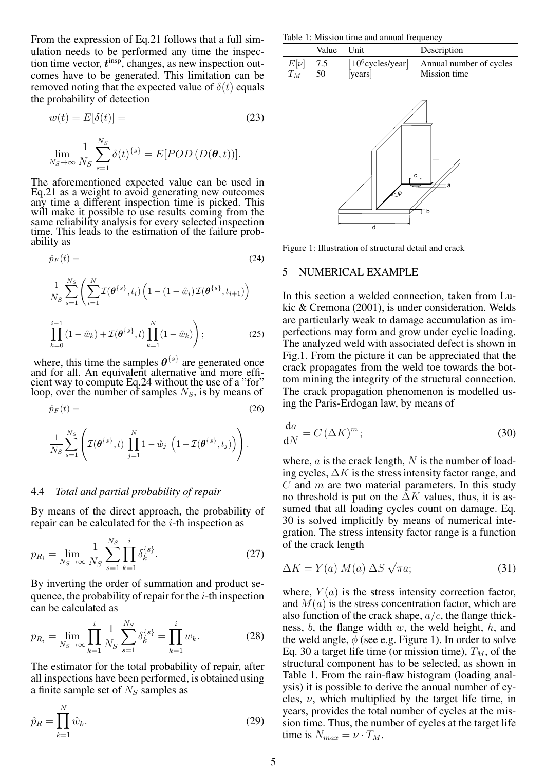From the expression of Eq.21 follows that a full simulation needs to be performed any time the inspection time vector,  $t<sup>insp</sup>$ , changes, as new inspection outcomes have to be generated. This limitation can be removed noting that the expected value of  $\delta(t)$  equals the probability of detection

$$
w(t) = E[\delta(t)] = \tag{23}
$$

$$
\lim_{N_S \to \infty} \frac{1}{N_S} \sum_{s=1}^{N_S} \delta(t)^{\{s\}} = E[POD(D(\boldsymbol{\theta}, t))].
$$

The aforementioned expected value can be used in Eq.21 as a weight to avoid generating new outcomes any time a different inspection time is picked. This will make it possible to use results coming from the same reliability analysis for every selected inspection time. This leads to the estimation of the failure probability as

$$
\hat{p}_F(t) = \tag{24}
$$

$$
\frac{1}{N_S} \sum_{s=1}^{N_S} \left( \sum_{i=1}^N \mathcal{I}(\theta^{\{s\}}, t_i) \left( 1 - (1 - \hat{w}_i) \mathcal{I}(\theta^{\{s\}}, t_{i+1}) \right) \right)
$$
\n
$$
\prod_{k=0}^{i-1} (1 - \hat{w}_k) + \mathcal{I}(\theta^{\{s\}}, t) \prod_{k=1}^N (1 - \hat{w}_k) \right);
$$
\n(25)

where, this time the samples  $\theta^{\{s\}}$  are generated once and for all. An equivalent alternative and more efficient way to compute Eq.24 without the use of a "for" loop, over the number of samples  $N<sub>S</sub>$ , is by means of

$$
\hat{p}_F(t) = \tag{26}
$$

$$
\frac{1}{N_S} \sum_{s=1}^{N_S} \left( \mathcal{I}(\boldsymbol{\theta}^{\{s\}},t) \prod_{j=1}^N 1 - \hat{w}_j \left( 1 - \mathcal{I}(\boldsymbol{\theta}^{\{s\}},t_j) \right) \right).
$$

# 4.4 *Total and partial probability of repair*

By means of the direct approach, the probability of repair can be calculated for the  $i$ -th inspection as

$$
p_{R_i} = \lim_{N_S \to \infty} \frac{1}{N_S} \sum_{s=1}^{N_S} \prod_{k=1}^i \delta_k^{\{s\}}.
$$
 (27)

By inverting the order of summation and product sequence, the probability of repair for the  $i$ -th inspection can be calculated as

$$
p_{R_i} = \lim_{N_S \to \infty} \prod_{k=1}^i \frac{1}{N_S} \sum_{s=1}^{N_S} \delta_k^{\{s\}} = \prod_{k=1}^i w_k.
$$
 (28)

The estimator for the total probability of repair, after all inspections have been performed, is obtained using a finite sample set of  $N<sub>S</sub>$  samples as

$$
\hat{p}_R = \prod_{k=1}^N \hat{w}_k.
$$
\n(29)

Table 1: Mission time and annual frequency

|          | Value Unit |         | Description                                 |
|----------|------------|---------|---------------------------------------------|
| $E[\nu]$ | 7.5        | [years] | $[10^6$ cycles/year Annual number of cycles |
| $T_M$    | - 50       |         | Mission time                                |



Figure 1: Illustration of structural detail and crack

#### 5 NUMERICAL EXAMPLE

In this section a welded connection, taken from Lukic & Cremona (2001), is under consideration. Welds are particularly weak to damage accumulation as imperfections may form and grow under cyclic loading. The analyzed weld with associated defect is shown in Fig.1. From the picture it can be appreciated that the crack propagates from the weld toe towards the bottom mining the integrity of the structural connection. The crack propagation phenomenon is modelled using the Paris-Erdogan law, by means of

$$
\frac{\mathrm{d}a}{\mathrm{d}N} = C\left(\Delta K\right)^m; \tag{30}
$$

where,  $a$  is the crack length,  $N$  is the number of loading cycles,  $\Delta K$  is the stress intensity factor range, and  $C$  and  $m$  are two material parameters. In this study no threshold is put on the  $\Delta K$  values, thus, it is assumed that all loading cycles count on damage. Eq. 30 is solved implicitly by means of numerical integration. The stress intensity factor range is a function of the crack length

$$
\Delta K = Y(a) M(a) \Delta S \sqrt{\pi a};\tag{31}
$$

where,  $Y(a)$  is the stress intensity correction factor, and  $M(a)$  is the stress concentration factor, which are also function of the crack shape,  $a/c$ , the flange thickness,  $b$ , the flange width  $w$ , the weld height,  $h$ , and the weld angle,  $\phi$  (see e.g. Figure 1). In order to solve Eq. 30 a target life time (or mission time),  $T_M$ , of the structural component has to be selected, as shown in Table 1. From the rain-flaw histogram (loading analysis) it is possible to derive the annual number of cycles,  $\nu$ , which multiplied by the target life time, in years, provides the total number of cycles at the mission time. Thus, the number of cycles at the target life time is  $N_{max} = \nu \cdot T_M$ .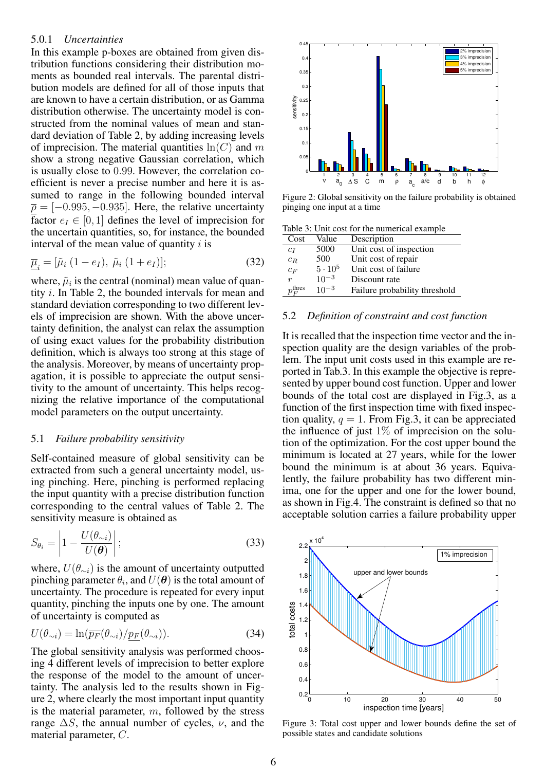#### 5.0.1 *Uncertainties*

In this example p-boxes are obtained from given distribution functions considering their distribution moments as bounded real intervals. The parental distribution models are defined for all of those inputs that are known to have a certain distribution, or as Gamma distribution otherwise. The uncertainty model is constructed from the nominal values of mean and standard deviation of Table 2, by adding increasing levels of imprecision. The material quantities  $ln(C)$  and m show a strong negative Gaussian correlation, which is usually close to 0.99. However, the correlation coefficient is never a precise number and here it is assumed to range in the following bounded interval  $\bar{\rho} = [-0.995, -0.935]$ . Here, the relative uncertainty factor  $e_I \in [0, 1]$  defines the level of imprecision for the uncertain quantities, so, for instance, the bounded interval of the mean value of quantity  $i$  is

$$
\underline{\overline{\mu}}_{i} = [\tilde{\mu}_{i} (1 - e_{I}), \tilde{\mu}_{i} (1 + e_{I})]; \qquad (32)
$$

where,  $\tilde{\mu}_i$  is the central (nominal) mean value of quantity i. In Table 2, the bounded intervals for mean and standard deviation corresponding to two different levels of imprecision are shown. With the above uncertainty definition, the analyst can relax the assumption of using exact values for the probability distribution definition, which is always too strong at this stage of the analysis. Moreover, by means of uncertainty propagation, it is possible to appreciate the output sensitivity to the amount of uncertainty. This helps recognizing the relative importance of the computational model parameters on the output uncertainty.

#### 5.1 *Failure probability sensitivity*

Self-contained measure of global sensitivity can be extracted from such a general uncertainty model, using pinching. Here, pinching is performed replacing the input quantity with a precise distribution function corresponding to the central values of Table 2. The sensitivity measure is obtained as

$$
S_{\theta_i} = \left| 1 - \frac{U(\theta_{\sim i})}{U(\boldsymbol{\theta})} \right|;
$$
\n(33)

where,  $U(\theta_{\sim i})$  is the amount of uncertainty outputted pinching parameter  $\theta_i$ , and  $U(\boldsymbol\theta)$  is the total amount of uncertainty. The procedure is repeated for every input quantity, pinching the inputs one by one. The amount of uncertainty is computed as

$$
U(\theta_{\sim i}) = \ln(\overline{p_F}(\theta_{\sim i})/p_F(\theta_{\sim i})).
$$
\n(34)

The global sensitivity analysis was performed choosing 4 different levels of imprecision to better explore the response of the model to the amount of uncertainty. The analysis led to the results shown in Figure 2, where clearly the most important input quantity is the material parameter,  $m$ , followed by the stress range  $\Delta S$ , the annual number of cycles,  $\nu$ , and the material parameter, C.



Figure 2: Global sensitivity on the failure probability is obtained pinging one input at a time

Table 3: Unit cost for the numerical example

| Cost                 | Value          | Description                   |
|----------------------|----------------|-------------------------------|
| $c_I$                | 5000           | Unit cost of inspection       |
| $c_R$                | 500            | Unit cost of repair           |
| $c_F$                | $5 \cdot 10^5$ | Unit cost of failure          |
| $\boldsymbol{r}$     | $10^{-3}$      | Discount rate                 |
| $p_F^{\text{thres}}$ | $10^{-3}$      | Failure probability threshold |

#### 5.2 *Definition of constraint and cost function*

It is recalled that the inspection time vector and the inspection quality are the design variables of the problem. The input unit costs used in this example are reported in Tab.3. In this example the objective is represented by upper bound cost function. Upper and lower bounds of the total cost are displayed in Fig.3, as a function of the first inspection time with fixed inspection quality,  $q = 1$ . From Fig.3, it can be appreciated the influence of just  $1\%$  of imprecision on the solution of the optimization. For the cost upper bound the minimum is located at 27 years, while for the lower bound the minimum is at about 36 years. Equivalently, the failure probability has two different minima, one for the upper and one for the lower bound, as shown in Fig.4. The constraint is defined so that no acceptable solution carries a failure probability upper



Figure 3: Total cost upper and lower bounds define the set of possible states and candidate solutions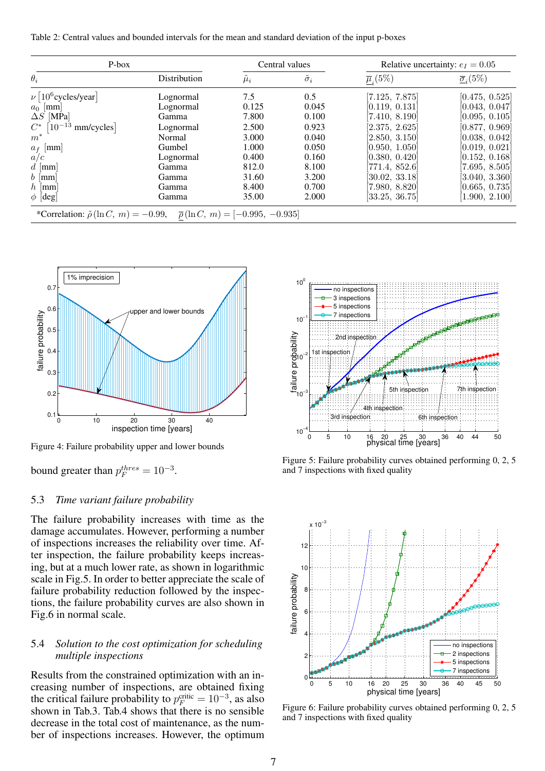Table 2: Central values and bounded intervals for the mean and standard deviation of the input p-boxes

| P-box                              |              |         | Central values     |                           | Relative uncertainty: $e_I = 0.05$     |
|------------------------------------|--------------|---------|--------------------|---------------------------|----------------------------------------|
| $\theta_i$                         | Distribution | $\mu_i$ | $\tilde{\sigma}_i$ | $\overline{\mu}_{i}(5\%)$ | $\overline{\underline{\sigma}}_i(5\%)$ |
| $\nu  10^6$ cycles/year]           | Lognormal    | 7.5     | 0.5                | [7.125, 7.875]            | [0.475, 0.525]                         |
| $a_0$ [mm]                         | Lognormal    | 0.125   | 0.045              | [0.119, 0.131]            | [0.043, 0.047]                         |
| $\Delta S$ [MPa]                   | Gamma        | 7.800   | 0.100              | [7.410, 8.190]            | [0.095, 0.105]                         |
| $ 10^{-13} $<br>$C^*$<br>mm/cycles | Lognormal    | 2.500   | 0.923              | [2.375, 2.625]            | [0.877, 0.969]                         |
| $m^*$                              | Normal       | 3.000   | 0.040              | [2.850, 3.150]            | [0.038, 0.042]                         |
| $a_f$ [mm]                         | Gumbel       | 1.000   | 0.050              | [0.950, 1.050]            | [0.019, 0.021]                         |
| a/c                                | Lognormal    | 0.400   | 0.160              | [0.380, 0.420]            | [0.152, 0.168]                         |
| $d \mid \text{mm}$                 | Gamma        | 812.0   | 8.100              | [771.4, 852.6]            | 7.695, 8.505                           |
| $b \; [\text{mm}]$                 | Gamma        | 31.60   | 3.200              | 30.02, 33.18              | 3.040, 3.360                           |
| $h$ [mm]                           | Gamma        | 8.400   | 0.700              | 7.980, 8.820              | [0.665, 0.735]                         |
| $\phi$ [deg]                       | Gamma        | 35.00   | 2.000              | [33.25, 36.75]            | [1.900, 2.100]                         |



Figure 4: Failure probability upper and lower bounds

bound greater than  $p_F^{thres} = 10^{-3}$ .

# 5.3 *Time variant failure probability*

The failure probability increases with time as the damage accumulates. However, performing a number of inspections increases the reliability over time. After inspection, the failure probability keeps increasing, but at a much lower rate, as shown in logarithmic scale in Fig.5. In order to better appreciate the scale of failure probability reduction followed by the inspections, the failure probability curves are also shown in Fig.6 in normal scale.

# 5.4 *Solution to the cost optimization for scheduling multiple inspections*

Results from the constrained optimization with an increasing number of inspections, are obtained fixing the critical failure probability to  $p_F^{\text{critic}} = 10^{-3}$ , as also shown in Tab.3. Tab.4 shows that there is no sensible decrease in the total cost of maintenance, as the number of inspections increases. However, the optimum



Figure 5: Failure probability curves obtained performing 0, 2, 5 and 7 inspections with fixed quality



Figure 6: Failure probability curves obtained performing 0, 2, 5 and 7 inspections with fixed quality